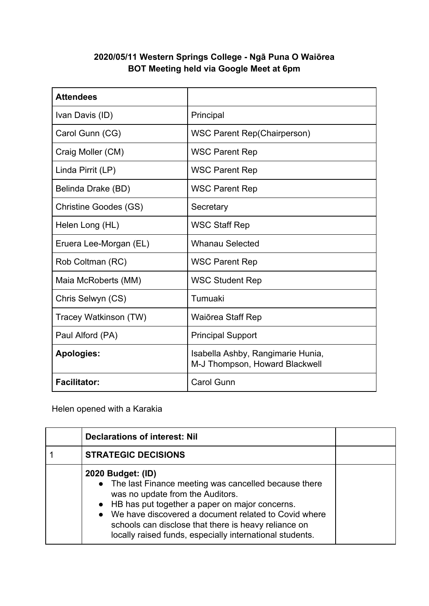## **2020/05/11 Western Springs College - Ngā Puna O Waiōrea BOT Meeting held via Google Meet at 6pm**

| <b>Attendees</b>       |                                                                     |
|------------------------|---------------------------------------------------------------------|
| Ivan Davis (ID)        | Principal                                                           |
| Carol Gunn (CG)        | <b>WSC Parent Rep(Chairperson)</b>                                  |
| Craig Moller (CM)      | <b>WSC Parent Rep</b>                                               |
| Linda Pirrit (LP)      | <b>WSC Parent Rep</b>                                               |
| Belinda Drake (BD)     | <b>WSC Parent Rep</b>                                               |
| Christine Goodes (GS)  | Secretary                                                           |
| Helen Long (HL)        | <b>WSC Staff Rep</b>                                                |
| Eruera Lee-Morgan (EL) | <b>Whanau Selected</b>                                              |
| Rob Coltman (RC)       | <b>WSC Parent Rep</b>                                               |
| Maia McRoberts (MM)    | <b>WSC Student Rep</b>                                              |
| Chris Selwyn (CS)      | Tumuaki                                                             |
| Tracey Watkinson (TW)  | Waiōrea Staff Rep                                                   |
| Paul Alford (PA)       | <b>Principal Support</b>                                            |
| <b>Apologies:</b>      | Isabella Ashby, Rangimarie Hunia,<br>M-J Thompson, Howard Blackwell |
| <b>Facilitator:</b>    | <b>Carol Gunn</b>                                                   |

Helen opened with a Karakia

| <b>Declarations of interest: Nil</b>                                                                                                                                                                                                                                                                                                              |  |
|---------------------------------------------------------------------------------------------------------------------------------------------------------------------------------------------------------------------------------------------------------------------------------------------------------------------------------------------------|--|
| <b>STRATEGIC DECISIONS</b>                                                                                                                                                                                                                                                                                                                        |  |
| 2020 Budget: (ID)<br>• The last Finance meeting was cancelled because there<br>was no update from the Auditors.<br>• HB has put together a paper on major concerns.<br>• We have discovered a document related to Covid where<br>schools can disclose that there is heavy reliance on<br>locally raised funds, especially international students. |  |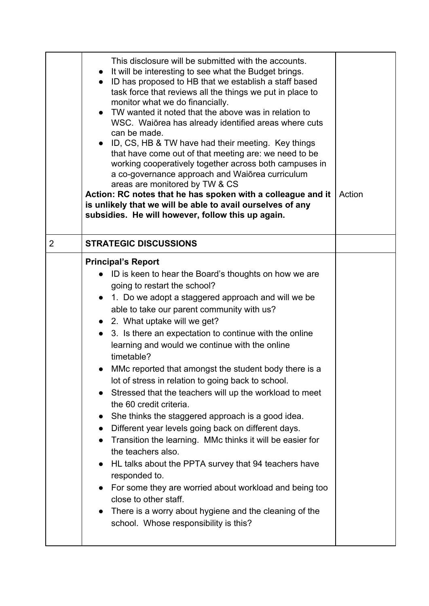|   | This disclosure will be submitted with the accounts.<br>It will be interesting to see what the Budget brings.<br>• ID has proposed to HB that we establish a staff based<br>task force that reviews all the things we put in place to<br>monitor what we do financially.<br>TW wanted it noted that the above was in relation to<br>WSC. Waiorea has already identified areas where cuts<br>can be made.<br>• ID, CS, HB & TW have had their meeting. Key things<br>that have come out of that meeting are: we need to be<br>working cooperatively together across both campuses in<br>a co-governance approach and Waiorea curriculum<br>areas are monitored by TW & CS<br>Action: RC notes that he has spoken with a colleague and it<br>is unlikely that we will be able to avail ourselves of any<br>subsidies. He will however, follow this up again.                                                                                                                                                                                                                       | Action |
|---|----------------------------------------------------------------------------------------------------------------------------------------------------------------------------------------------------------------------------------------------------------------------------------------------------------------------------------------------------------------------------------------------------------------------------------------------------------------------------------------------------------------------------------------------------------------------------------------------------------------------------------------------------------------------------------------------------------------------------------------------------------------------------------------------------------------------------------------------------------------------------------------------------------------------------------------------------------------------------------------------------------------------------------------------------------------------------------|--------|
| 2 | <b>STRATEGIC DISCUSSIONS</b>                                                                                                                                                                                                                                                                                                                                                                                                                                                                                                                                                                                                                                                                                                                                                                                                                                                                                                                                                                                                                                                     |        |
|   | <b>Principal's Report</b><br>• ID is keen to hear the Board's thoughts on how we are<br>going to restart the school?<br>1. Do we adopt a staggered approach and will we be<br>able to take our parent community with us?<br>• 2. What uptake will we get?<br>3. Is there an expectation to continue with the online<br>learning and would we continue with the online<br>timetable?<br>MMc reported that amongst the student body there is a<br>lot of stress in relation to going back to school.<br>Stressed that the teachers will up the workload to meet<br>the 60 credit criteria.<br>She thinks the staggered approach is a good idea.<br>$\bullet$<br>Different year levels going back on different days.<br>Transition the learning. MMc thinks it will be easier for<br>the teachers also.<br>HL talks about the PPTA survey that 94 teachers have<br>responded to.<br>For some they are worried about workload and being too<br>close to other staff.<br>There is a worry about hygiene and the cleaning of the<br>$\bullet$<br>school. Whose responsibility is this? |        |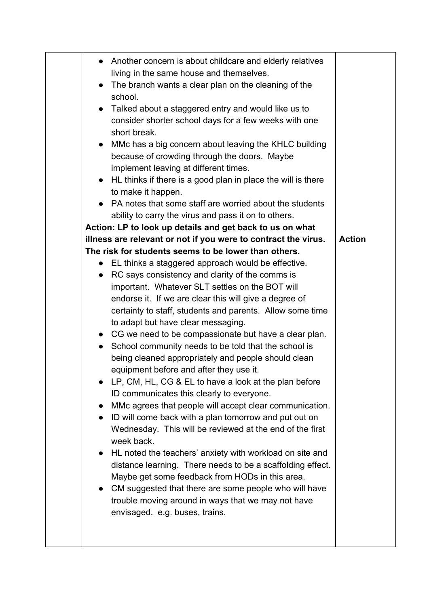| • Another concern is about childcare and elderly relatives<br>living in the same house and themselves.<br>The branch wants a clear plan on the cleaning of the<br>$\bullet$<br>school.<br>Talked about a staggered entry and would like us to<br>$\bullet$<br>consider shorter school days for a few weeks with one<br>short break.<br>MMc has a big concern about leaving the KHLC building<br>$\bullet$<br>because of crowding through the doors. Maybe<br>implement leaving at different times.<br>HL thinks if there is a good plan in place the will is there<br>$\bullet$<br>to make it happen.<br>PA notes that some staff are worried about the students<br>ability to carry the virus and pass it on to others.<br>Action: LP to look up details and get back to us on what<br>illness are relevant or not if you were to contract the virus.<br>The risk for students seems to be lower than others.<br>• EL thinks a staggered approach would be effective.<br>RC says consistency and clarity of the comms is<br>$\bullet$<br>important. Whatever SLT settles on the BOT will<br>endorse it. If we are clear this will give a degree of<br>certainty to staff, students and parents. Allow some time<br>to adapt but have clear messaging.<br>• CG we need to be compassionate but have a clear plan.<br>School community needs to be told that the school is<br>being cleaned appropriately and people should clean<br>equipment before and after they use it.<br>LP, CM, HL, CG & EL to have a look at the plan before<br>ID communicates this clearly to everyone.<br>MMc agrees that people will accept clear communication.<br>ID will come back with a plan tomorrow and put out on<br>Wednesday. This will be reviewed at the end of the first<br>week back.<br>HL noted the teachers' anxiety with workload on site and<br>distance learning. There needs to be a scaffolding effect.<br>Maybe get some feedback from HODs in this area.<br>CM suggested that there are some people who will have<br>trouble moving around in ways that we may not have<br>envisaged. e.g. buses, trains. | <b>Action</b> |
|---------------------------------------------------------------------------------------------------------------------------------------------------------------------------------------------------------------------------------------------------------------------------------------------------------------------------------------------------------------------------------------------------------------------------------------------------------------------------------------------------------------------------------------------------------------------------------------------------------------------------------------------------------------------------------------------------------------------------------------------------------------------------------------------------------------------------------------------------------------------------------------------------------------------------------------------------------------------------------------------------------------------------------------------------------------------------------------------------------------------------------------------------------------------------------------------------------------------------------------------------------------------------------------------------------------------------------------------------------------------------------------------------------------------------------------------------------------------------------------------------------------------------------------------------------------------------------------------------------------------------------------------------------------------------------------------------------------------------------------------------------------------------------------------------------------------------------------------------------------------------------------------------------------------------------------------------------------------------------------------------------------------------------------------------------------------------------------------------------------|---------------|
|---------------------------------------------------------------------------------------------------------------------------------------------------------------------------------------------------------------------------------------------------------------------------------------------------------------------------------------------------------------------------------------------------------------------------------------------------------------------------------------------------------------------------------------------------------------------------------------------------------------------------------------------------------------------------------------------------------------------------------------------------------------------------------------------------------------------------------------------------------------------------------------------------------------------------------------------------------------------------------------------------------------------------------------------------------------------------------------------------------------------------------------------------------------------------------------------------------------------------------------------------------------------------------------------------------------------------------------------------------------------------------------------------------------------------------------------------------------------------------------------------------------------------------------------------------------------------------------------------------------------------------------------------------------------------------------------------------------------------------------------------------------------------------------------------------------------------------------------------------------------------------------------------------------------------------------------------------------------------------------------------------------------------------------------------------------------------------------------------------------|---------------|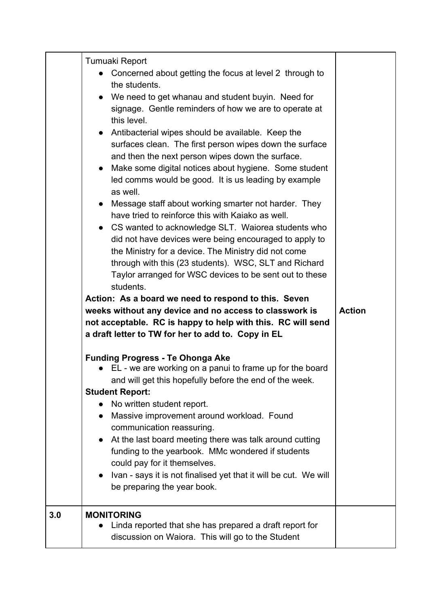|     | Tumuaki Report<br>Concerned about getting the focus at level 2 through to<br>the students.<br>• We need to get whanau and student buyin. Need for<br>signage. Gentle reminders of how we are to operate at<br>this level.<br>• Antibacterial wipes should be available. Keep the<br>surfaces clean. The first person wipes down the surface<br>and then the next person wipes down the surface.<br>Make some digital notices about hygiene. Some student<br>$\bullet$<br>led comms would be good. It is us leading by example<br>as well.<br>Message staff about working smarter not harder. They<br>$\bullet$<br>have tried to reinforce this with Kaiako as well.<br>• CS wanted to acknowledge SLT. Waiorea students who<br>did not have devices were being encouraged to apply to<br>the Ministry for a device. The Ministry did not come<br>through with this (23 students). WSC, SLT and Richard<br>Taylor arranged for WSC devices to be sent out to these<br>students.<br>Action: As a board we need to respond to this. Seven<br>weeks without any device and no access to classwork is<br>not acceptable. RC is happy to help with this. RC will send |  |
|-----|-----------------------------------------------------------------------------------------------------------------------------------------------------------------------------------------------------------------------------------------------------------------------------------------------------------------------------------------------------------------------------------------------------------------------------------------------------------------------------------------------------------------------------------------------------------------------------------------------------------------------------------------------------------------------------------------------------------------------------------------------------------------------------------------------------------------------------------------------------------------------------------------------------------------------------------------------------------------------------------------------------------------------------------------------------------------------------------------------------------------------------------------------------------------|--|
|     | <b>Funding Progress - Te Ohonga Ake</b><br>• EL - we are working on a panui to frame up for the board<br>and will get this hopefully before the end of the week.<br><b>Student Report:</b><br>No written student report.<br>Massive improvement around workload. Found<br>communication reassuring.<br>At the last board meeting there was talk around cutting<br>funding to the yearbook. MMc wondered if students<br>could pay for it themselves.<br>Ivan - says it is not finalised yet that it will be cut. We will<br>be preparing the year book.                                                                                                                                                                                                                                                                                                                                                                                                                                                                                                                                                                                                          |  |
| 3.0 | <b>MONITORING</b><br>Linda reported that she has prepared a draft report for<br>discussion on Waiora. This will go to the Student                                                                                                                                                                                                                                                                                                                                                                                                                                                                                                                                                                                                                                                                                                                                                                                                                                                                                                                                                                                                                               |  |